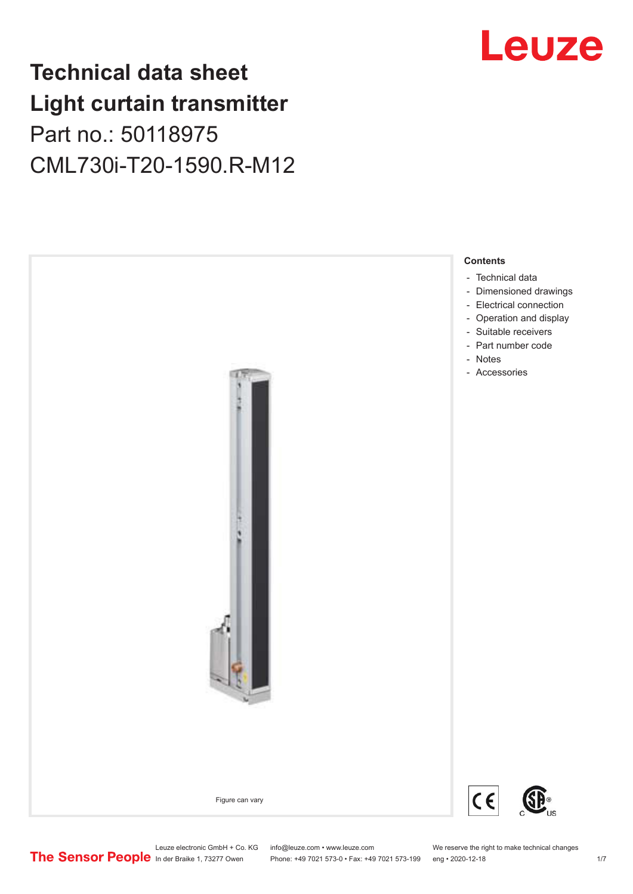# **Technical data sheet Light curtain transmitter** Part no.: 50118975 CML730i-T20-1590.R-M12





Leuze electronic GmbH + Co. KG info@leuze.com • www.leuze.com We reserve the right to make technical changes<br>
The Sensor People in der Braike 1, 73277 Owen Phone: +49 7021 573-0 • Fax: +49 7021 573-199 eng • 2020-12-18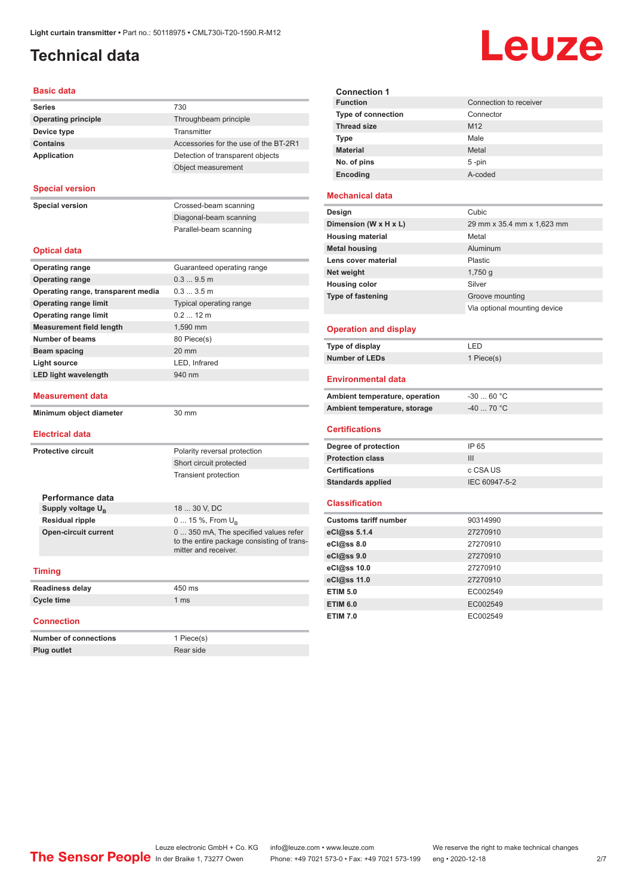# <span id="page-1-0"></span>**Technical data**

# Leuze

| ва | sic da. |  |
|----|---------|--|
|    |         |  |

| <b>Series</b>              | 730                                   |
|----------------------------|---------------------------------------|
| <b>Operating principle</b> | Throughbeam principle                 |
| Device type                | Transmitter                           |
| <b>Contains</b>            | Accessories for the use of the BT-2R1 |
| <b>Application</b>         | Detection of transparent objects      |
|                            | Object measurement                    |

### **Special version**

**Special version** Crossed-beam scanning

Diagonal-beam scanning Parallel-beam scanning

### **Optical data**

| <b>Operating range</b>             | Guaranteed operating range                                                                                 |
|------------------------------------|------------------------------------------------------------------------------------------------------------|
| <b>Operating range</b>             | 0.39.5m                                                                                                    |
| Operating range, transparent media | $0.33.5$ m                                                                                                 |
| <b>Operating range limit</b>       | Typical operating range                                                                                    |
| <b>Operating range limit</b>       | $0.212$ m                                                                                                  |
| <b>Measurement field length</b>    | 1,590 mm                                                                                                   |
| Number of beams                    | 80 Piece(s)                                                                                                |
| Beam spacing                       | $20 \text{ mm}$                                                                                            |
| <b>Light source</b>                | LED, Infrared                                                                                              |
| <b>LED light wavelength</b>        | 940 nm                                                                                                     |
| <b>Measurement data</b>            |                                                                                                            |
| Minimum object diameter            | 30 mm                                                                                                      |
| <b>Electrical data</b>             |                                                                                                            |
|                                    |                                                                                                            |
| <b>Protective circuit</b>          | Polarity reversal protection                                                                               |
|                                    | Short circuit protected                                                                                    |
|                                    |                                                                                                            |
|                                    | <b>Transient protection</b>                                                                                |
|                                    |                                                                                                            |
| Performance data                   |                                                                                                            |
| Supply voltage U <sub>p</sub>      | 18  30 V, DC                                                                                               |
| <b>Residual ripple</b>             | 0  15 %, From $U_{\rm B}$                                                                                  |
| <b>Open-circuit current</b>        | 0  350 mA, The specified values refer<br>to the entire package consisting of trans-<br>mitter and receiver |

### **Timing**

| <b>Readiness delay</b> | 450 ms         |
|------------------------|----------------|
| Cycle time             | $1 \text{ ms}$ |

### **Connection**

| <b>Number of connections</b> | 1 Piece(s) |
|------------------------------|------------|
| <b>Plug outlet</b>           | Rear side  |

| <b>Connection 1</b>       |                        |
|---------------------------|------------------------|
| <b>Function</b>           | Connection to receiver |
| <b>Type of connection</b> | Connector              |
| <b>Thread size</b>        | M <sub>12</sub>        |
| Type                      | Male                   |
| <b>Material</b>           | Metal                  |
| No. of pins               | $5 - pin$              |
| Encoding                  | A-coded                |
|                           |                        |

### **Mechanical data**

| Design                   | Cubic                        |
|--------------------------|------------------------------|
| Dimension (W x H x L)    | 29 mm x 35.4 mm x 1,623 mm   |
| <b>Housing material</b>  | Metal                        |
| <b>Metal housing</b>     | Aluminum                     |
| Lens cover material      | Plastic                      |
| Net weight               | 1,750q                       |
| <b>Housing color</b>     | Silver                       |
| <b>Type of fastening</b> | Groove mounting              |
|                          | Via optional mounting device |
|                          |                              |

### **Operation and display**

| Type of display | I FD.      |
|-----------------|------------|
| Number of LEDs  | 1 Piece(s) |

#### **Environmental data**

| Ambient temperature, operation | -30  60 °C |
|--------------------------------|------------|
| Ambient temperature, storage   | -40  70 °C |

### **Certifications**

| Degree of protection     | IP 65         |
|--------------------------|---------------|
| <b>Protection class</b>  | Ш             |
| <b>Certifications</b>    | c CSA US      |
| <b>Standards applied</b> | IEC 60947-5-2 |

#### **Classification**

| <b>Customs tariff number</b> | 90314990 |
|------------------------------|----------|
| eCl@ss 5.1.4                 | 27270910 |
| eCl@ss 8.0                   | 27270910 |
| eCl@ss 9.0                   | 27270910 |
| eCl@ss 10.0                  | 27270910 |
| eCl@ss 11.0                  | 27270910 |
| <b>ETIM 5.0</b>              | EC002549 |
| <b>ETIM 6.0</b>              | EC002549 |
| <b>ETIM 7.0</b>              | EC002549 |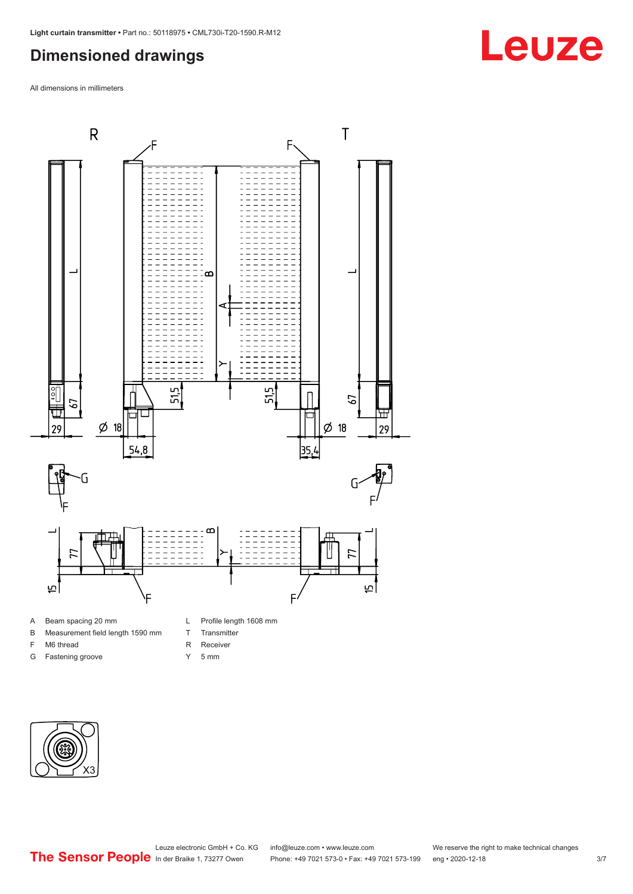# <span id="page-2-0"></span>**Dimensioned drawings**

All dimensions in millimeters



### A Beam spacing 20 mm

- B Measurement field length 1590 mm
- F M6 thread
- G Fastening groove
- L Profile length 1608 mm
- T Transmitter
- R Receiver
- Y 5 mm



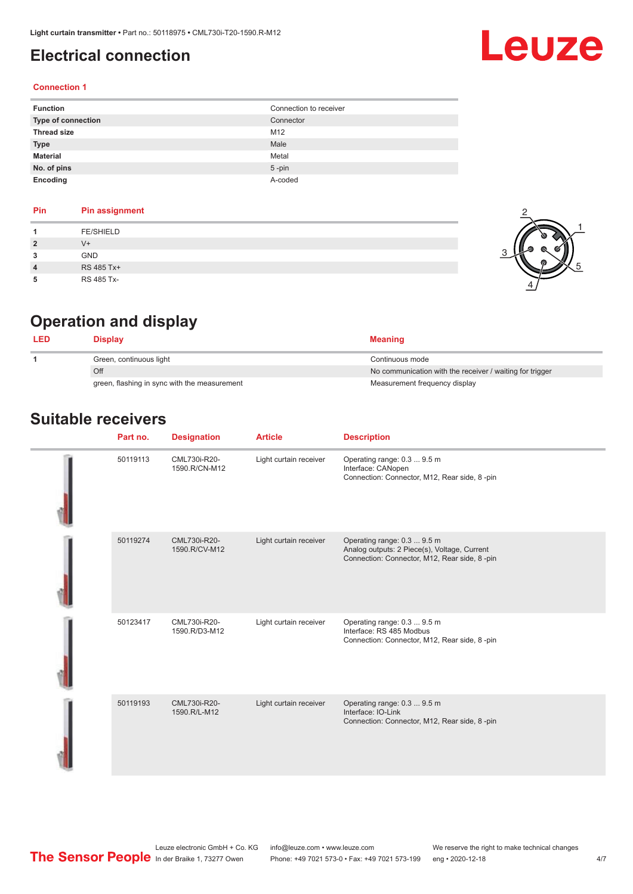# <span id="page-3-0"></span>**Electrical connection**

# Leuze

### **Connection 1**

| <b>Function</b>    | Connection to receiver |
|--------------------|------------------------|
| Type of connection | Connector              |
| <b>Thread size</b> | M12                    |
| <b>Type</b>        | Male                   |
| <b>Material</b>    | Metal                  |
| No. of pins        | $5$ -pin               |
| Encoding           | A-coded                |

### **Pin Pin assignment 1** FE/SHIELD **2** V+ **3** GND **4** RS 485 Tx+ **5** RS 485 Tx-



# **Operation and display**

| Display                                      | <b>Meaning</b>                                           |
|----------------------------------------------|----------------------------------------------------------|
| Green, continuous light                      | Continuous mode                                          |
| Off                                          | No communication with the receiver / waiting for trigger |
| green, flashing in sync with the measurement | Measurement frequency display                            |

## **Suitable receivers**

| Part no. | <b>Designation</b>            | <b>Article</b>         | <b>Description</b>                                                                                                          |
|----------|-------------------------------|------------------------|-----------------------------------------------------------------------------------------------------------------------------|
| 50119113 | CML730i-R20-<br>1590.R/CN-M12 | Light curtain receiver | Operating range: 0.3  9.5 m<br>Interface: CANopen<br>Connection: Connector, M12, Rear side, 8-pin                           |
| 50119274 | CML730i-R20-<br>1590.R/CV-M12 | Light curtain receiver | Operating range: 0.3  9.5 m<br>Analog outputs: 2 Piece(s), Voltage, Current<br>Connection: Connector, M12, Rear side, 8-pin |
| 50123417 | CML730i-R20-<br>1590.R/D3-M12 | Light curtain receiver | Operating range: 0.3  9.5 m<br>Interface: RS 485 Modbus<br>Connection: Connector, M12, Rear side, 8-pin                     |
| 50119193 | CML730i-R20-<br>1590.R/L-M12  | Light curtain receiver | Operating range: 0.3  9.5 m<br>Interface: IO-Link<br>Connection: Connector, M12, Rear side, 8-pin                           |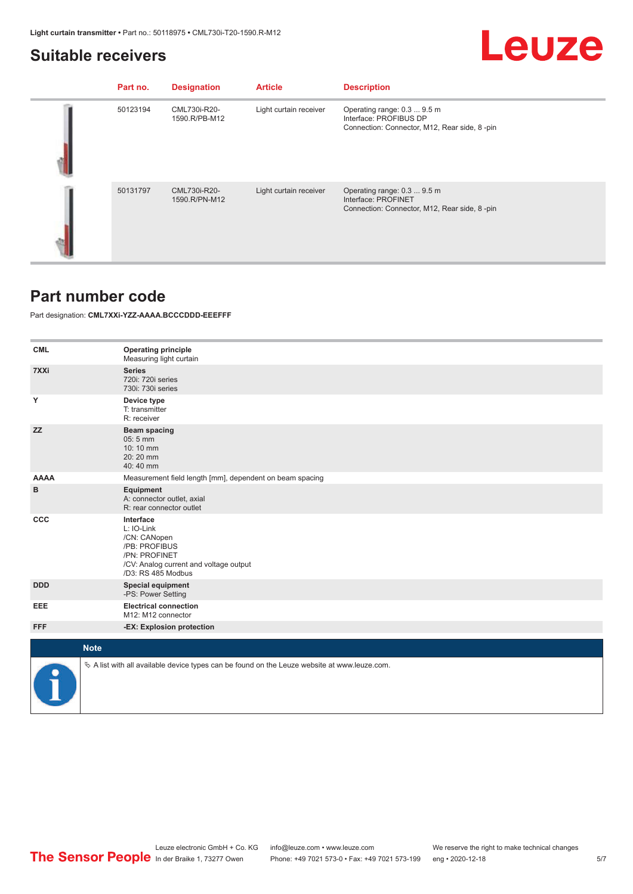## <span id="page-4-0"></span>**Suitable receivers**

# Leuze

| Part no. | <b>Designation</b>            | <b>Article</b>         | <b>Description</b>                                                                                    |
|----------|-------------------------------|------------------------|-------------------------------------------------------------------------------------------------------|
| 50123194 | CML730i-R20-<br>1590.R/PB-M12 | Light curtain receiver | Operating range: 0.3  9.5 m<br>Interface: PROFIBUS DP<br>Connection: Connector, M12, Rear side, 8-pin |
| 50131797 | CML730i-R20-<br>1590.R/PN-M12 | Light curtain receiver | Operating range: 0.3  9.5 m<br>Interface: PROFINET<br>Connection: Connector, M12, Rear side, 8-pin    |

## **Part number code**

Part designation: **CML7XXi-YZZ-AAAA.BCCCDDD-EEEFFF**

| <b>CML</b>  | <b>Operating principle</b><br>Measuring light curtain                                                                                     |
|-------------|-------------------------------------------------------------------------------------------------------------------------------------------|
| 7XXi        | <b>Series</b><br>720i: 720i series<br>730i: 730i series                                                                                   |
| Υ           | Device type<br>T: transmitter<br>R: receiver                                                                                              |
| <b>ZZ</b>   | Beam spacing<br>05:5 mm<br>10:10 mm<br>20:20 mm<br>40:40 mm                                                                               |
| <b>AAAA</b> | Measurement field length [mm], dependent on beam spacing                                                                                  |
| в           | Equipment<br>A: connector outlet, axial<br>R: rear connector outlet                                                                       |
| <b>CCC</b>  | Interface<br>L: IO-Link<br>/CN: CANopen<br>/PB: PROFIBUS<br>/PN: PROFINET<br>/CV: Analog current and voltage output<br>/D3: RS 485 Modbus |
| <b>DDD</b>  | <b>Special equipment</b><br>-PS: Power Setting                                                                                            |
| EEE         | <b>Electrical connection</b><br>M12: M12 connector                                                                                        |
| <b>FFF</b>  | -EX: Explosion protection                                                                                                                 |
|             | <b>Note</b>                                                                                                                               |
|             |                                                                                                                                           |
|             | $\&$ A list with all available device types can be found on the Leuze website at www.leuze.com.                                           |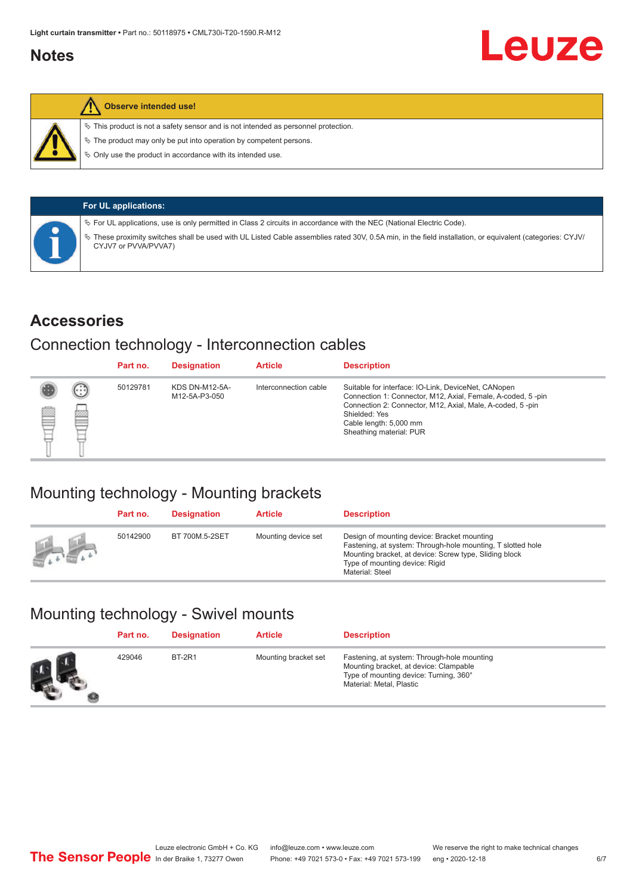## <span id="page-5-0"></span>**Notes**



### **Observe intended use!**

 $\%$  This product is not a safety sensor and is not intended as personnel protection.

 $\%$  The product may only be put into operation by competent persons.

 $\%$  Only use the product in accordance with its intended use.

| <b>For UL applications:</b>                                                                                                                                                       |
|-----------------------------------------------------------------------------------------------------------------------------------------------------------------------------------|
| $\%$ For UL applications, use is only permitted in Class 2 circuits in accordance with the NEC (National Electric Code).                                                          |
| V These proximity switches shall be used with UL Listed Cable assemblies rated 30V, 0.5A min, in the field installation, or equivalent (categories: CYJV/<br>CYJV7 or PVVA/PVVA7) |

### **Accessories**

# Connection technology - Interconnection cables

|   |        | Part no. | <b>Designation</b>                     | <b>Article</b>        | <b>Description</b>                                                                                                                                                                                                                                    |
|---|--------|----------|----------------------------------------|-----------------------|-------------------------------------------------------------------------------------------------------------------------------------------------------------------------------------------------------------------------------------------------------|
| Ø | ⊙<br>œ | 50129781 | <b>KDS DN-M12-5A-</b><br>M12-5A-P3-050 | Interconnection cable | Suitable for interface: IO-Link, DeviceNet, CANopen<br>Connection 1: Connector, M12, Axial, Female, A-coded, 5-pin<br>Connection 2: Connector, M12, Axial, Male, A-coded, 5-pin<br>Shielded: Yes<br>Cable length: 5,000 mm<br>Sheathing material: PUR |

# Mounting technology - Mounting brackets

|               | Part no. | <b>Designation</b> | <b>Article</b>      | <b>Description</b>                                                                                                                                                                                                        |
|---------------|----------|--------------------|---------------------|---------------------------------------------------------------------------------------------------------------------------------------------------------------------------------------------------------------------------|
| <b>Altres</b> | 50142900 | BT 700M.5-2SET     | Mounting device set | Design of mounting device: Bracket mounting<br>Fastening, at system: Through-hole mounting, T slotted hole<br>Mounting bracket, at device: Screw type, Sliding block<br>Type of mounting device: Rigid<br>Material: Steel |

# Mounting technology - Swivel mounts

| Part no. | <b>Designation</b> | <b>Article</b>       | <b>Description</b>                                                                                                                                          |
|----------|--------------------|----------------------|-------------------------------------------------------------------------------------------------------------------------------------------------------------|
| 429046   | <b>BT-2R1</b>      | Mounting bracket set | Fastening, at system: Through-hole mounting<br>Mounting bracket, at device: Clampable<br>Type of mounting device: Turning, 360°<br>Material: Metal, Plastic |

Leuze